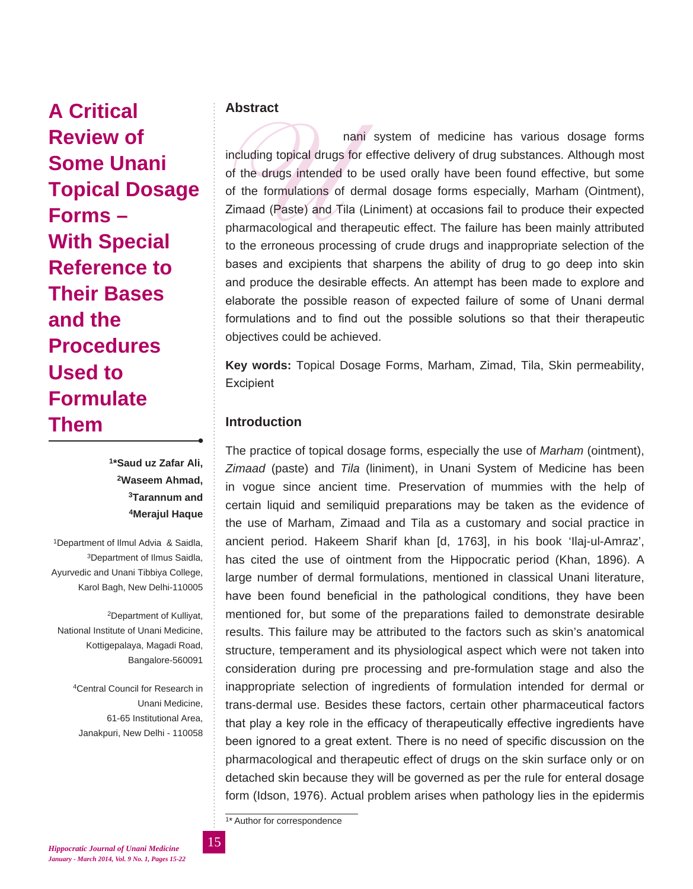**A Critical Review of Some Unani Topical Dosage Forms – With Special Reference to Their Bases and the Procedures Used to Formulate Them**

> **1\*Saud uz Zafar Ali, 2Waseem Ahmad, 3Tarannum and 4Merajul Haque**

1Department of Ilmul Advia & Saidla, 3Department of Ilmus Saidla, Ayurvedic and Unani Tibbiya College, Karol Bagh, New Delhi-110005

2Department of Kulliyat, National Institute of Unani Medicine, Kottigepalaya, Magadi Road, Bangalore-560091

> 4Central Council for Research in Unani Medicine, 61-65 Institutional Area, Janakpuri, New Delhi - 110058

# **Abstract**

nani system of medicine has various dosage forms<br>including topical drugs for effective delivery of drug substances. Although most<br>of the drugs intended to be used orally have been found effective, but some<br>of the formulati including topical drugs for effective delivery of drug substances. Although most of the drugs intended to be used orally have been found effective, but some of the formulations of dermal dosage forms especially, Marham (Ointment), Zimaad (Paste) and Tila (Liniment) at occasions fail to produce their expected pharmacological and therapeutic effect. The failure has been mainly attributed to the erroneous processing of crude drugs and inappropriate selection of the bases and excipients that sharpens the ability of drug to go deep into skin and produce the desirable effects. An attempt has been made to explore and elaborate the possible reason of expected failure of some of Unani dermal formulations and to find out the possible solutions so that their therapeutic objectives could be achieved.

**Key words:** Topical Dosage Forms, Marham, Zimad, Tila, Skin permeability, **Excipient** 

# **Introduction**

The practice of topical dosage forms, especially the use of *Marham* (ointment), *Zimaad* (paste) and *Tila* (liniment), in Unani System of Medicine has been in vogue since ancient time. Preservation of mummies with the help of certain liquid and semiliquid preparations may be taken as the evidence of the use of Marham, Zimaad and Tila as a customary and social practice in ancient period. Hakeem Sharif khan [d, 1763], in his book 'Ilaj-ul-Amraz', has cited the use of ointment from the Hippocratic period (Khan, 1896). A large number of dermal formulations, mentioned in classical Unani literature, have been found beneficial in the pathological conditions, they have been mentioned for, but some of the preparations failed to demonstrate desirable results. This failure may be attributed to the factors such as skin's anatomical structure, temperament and its physiological aspect which were not taken into consideration during pre processing and pre-formulation stage and also the inappropriate selection of ingredients of formulation intended for dermal or trans-dermal use. Besides these factors, certain other pharmaceutical factors that play a key role in the efficacy of therapeutically effective ingredients have been ignored to a great extent. There is no need of specific discussion on the pharmacological and therapeutic effect of drugs on the skin surface only or on detached skin because they will be governed as per the rule for enteral dosage form (Idson, 1976). Actual problem arises when pathology lies in the epidermis

1\* Author for correspondence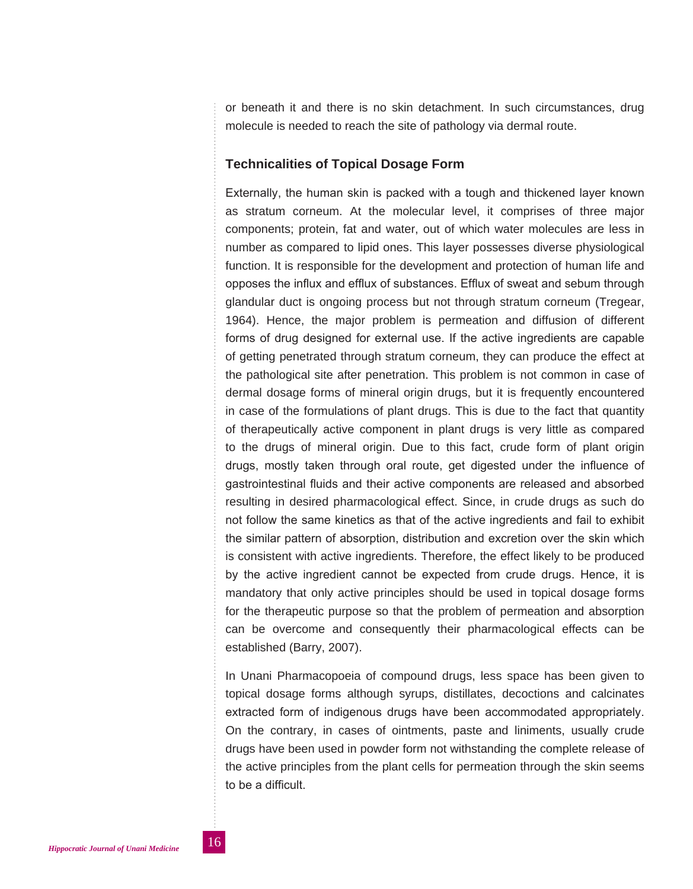or beneath it and there is no skin detachment. In such circumstances, drug molecule is needed to reach the site of pathology via dermal route.

### **Technicalities of Topical Dosage Form**

Externally, the human skin is packed with a tough and thickened layer known as stratum corneum. At the molecular level, it comprises of three major components; protein, fat and water, out of which water molecules are less in number as compared to lipid ones. This layer possesses diverse physiological function. It is responsible for the development and protection of human life and opposes the influx and efflux of substances. Efflux of sweat and sebum through glandular duct is ongoing process but not through stratum corneum (Tregear, 1964). Hence, the major problem is permeation and diffusion of different forms of drug designed for external use. If the active ingredients are capable of getting penetrated through stratum corneum, they can produce the effect at the pathological site after penetration. This problem is not common in case of dermal dosage forms of mineral origin drugs, but it is frequently encountered in case of the formulations of plant drugs. This is due to the fact that quantity of therapeutically active component in plant drugs is very little as compared to the drugs of mineral origin. Due to this fact, crude form of plant origin drugs, mostly taken through oral route, get digested under the influence of gastrointestinal fluids and their active components are released and absorbed resulting in desired pharmacological effect. Since, in crude drugs as such do not follow the same kinetics as that of the active ingredients and fail to exhibit the similar pattern of absorption, distribution and excretion over the skin which is consistent with active ingredients. Therefore, the effect likely to be produced by the active ingredient cannot be expected from crude drugs. Hence, it is mandatory that only active principles should be used in topical dosage forms for the therapeutic purpose so that the problem of permeation and absorption can be overcome and consequently their pharmacological effects can be established (Barry, 2007).

In Unani Pharmacopoeia of compound drugs, less space has been given to topical dosage forms although syrups, distillates, decoctions and calcinates extracted form of indigenous drugs have been accommodated appropriately. On the contrary, in cases of ointments, paste and liniments, usually crude drugs have been used in powder form not withstanding the complete release of the active principles from the plant cells for permeation through the skin seems to be a difficult.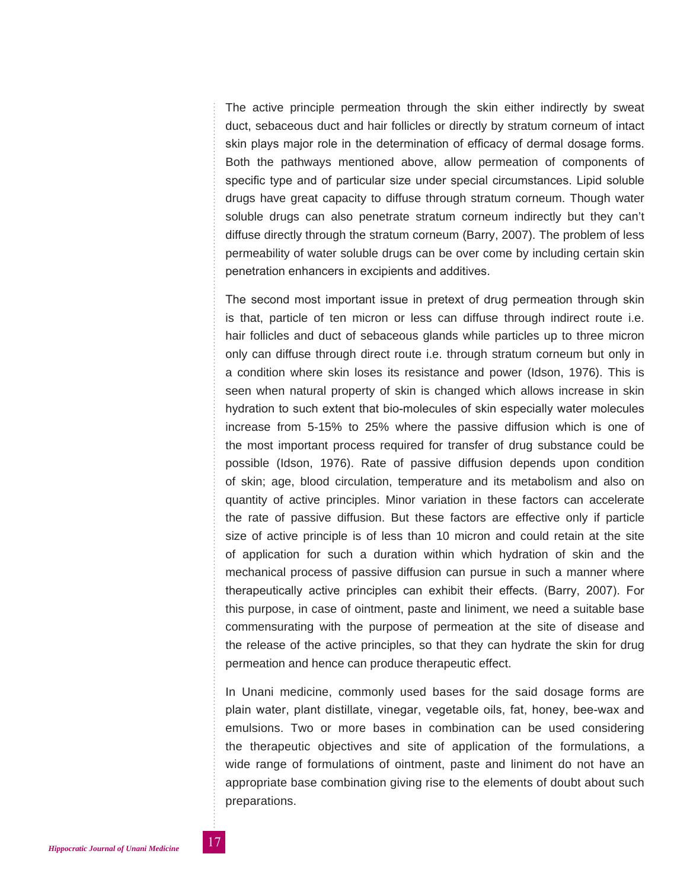The active principle permeation through the skin either indirectly by sweat duct, sebaceous duct and hair follicles or directly by stratum corneum of intact skin plays major role in the determination of efficacy of dermal dosage forms. Both the pathways mentioned above, allow permeation of components of specific type and of particular size under special circumstances. Lipid soluble drugs have great capacity to diffuse through stratum corneum. Though water soluble drugs can also penetrate stratum corneum indirectly but they can't diffuse directly through the stratum corneum (Barry, 2007). The problem of less permeability of water soluble drugs can be over come by including certain skin penetration enhancers in excipients and additives.

The second most important issue in pretext of drug permeation through skin is that, particle of ten micron or less can diffuse through indirect route i.e. hair follicles and duct of sebaceous glands while particles up to three micron only can diffuse through direct route i.e. through stratum corneum but only in a condition where skin loses its resistance and power (Idson, 1976). This is seen when natural property of skin is changed which allows increase in skin hydration to such extent that bio-molecules of skin especially water molecules increase from 5-15% to 25% where the passive diffusion which is one of the most important process required for transfer of drug substance could be possible (Idson, 1976). Rate of passive diffusion depends upon condition of skin; age, blood circulation, temperature and its metabolism and also on quantity of active principles. Minor variation in these factors can accelerate the rate of passive diffusion. But these factors are effective only if particle size of active principle is of less than 10 micron and could retain at the site of application for such a duration within which hydration of skin and the mechanical process of passive diffusion can pursue in such a manner where therapeutically active principles can exhibit their effects. (Barry, 2007). For this purpose, in case of ointment, paste and liniment, we need a suitable base commensurating with the purpose of permeation at the site of disease and the release of the active principles, so that they can hydrate the skin for drug permeation and hence can produce therapeutic effect.

In Unani medicine, commonly used bases for the said dosage forms are plain water, plant distillate, vinegar, vegetable oils, fat, honey, bee-wax and emulsions. Two or more bases in combination can be used considering the therapeutic objectives and site of application of the formulations, a wide range of formulations of ointment, paste and liniment do not have an appropriate base combination giving rise to the elements of doubt about such preparations.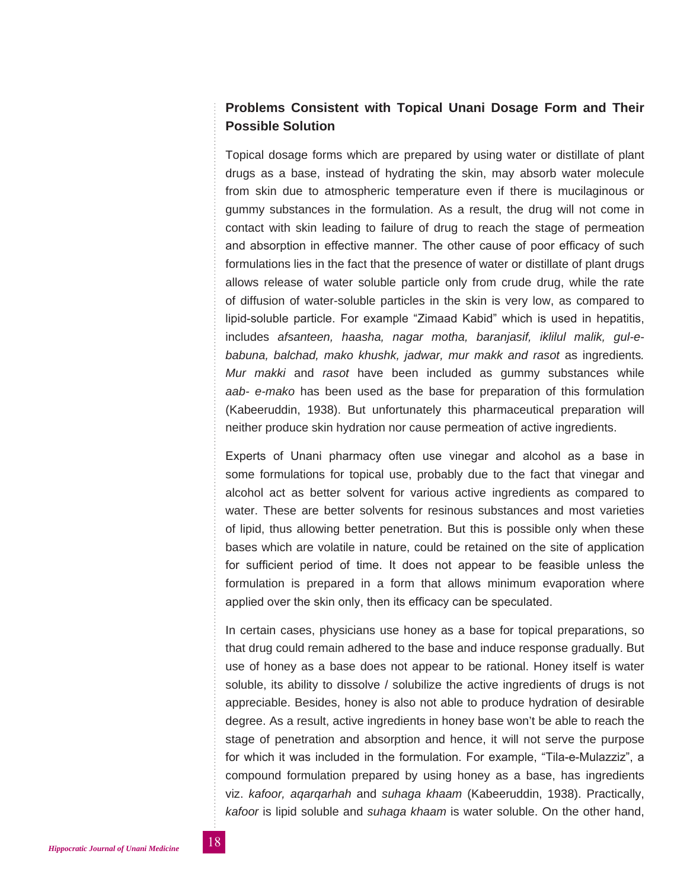# **Problems Consistent with Topical Unani Dosage Form and Their Possible Solution**

Topical dosage forms which are prepared by using water or distillate of plant drugs as a base, instead of hydrating the skin, may absorb water molecule from skin due to atmospheric temperature even if there is mucilaginous or gummy substances in the formulation. As a result, the drug will not come in contact with skin leading to failure of drug to reach the stage of permeation and absorption in effective manner. The other cause of poor efficacy of such formulations lies in the fact that the presence of water or distillate of plant drugs allows release of water soluble particle only from crude drug, while the rate of diffusion of water-soluble particles in the skin is very low, as compared to lipid-soluble particle. For example "Zimaad Kabid" which is used in hepatitis, includes *afsanteen, haasha, nagar motha, baranjasif, iklilul malik, gul-ebabuna, balchad, mako khushk, jadwar, mur makk and rasot* as ingredients*. Mur makki* and *rasot* have been included as gummy substances while *aab- e-mako* has been used as the base for preparation of this formulation (Kabeeruddin, 1938). But unfortunately this pharmaceutical preparation will neither produce skin hydration nor cause permeation of active ingredients.

Experts of Unani pharmacy often use vinegar and alcohol as a base in some formulations for topical use, probably due to the fact that vinegar and alcohol act as better solvent for various active ingredients as compared to water. These are better solvents for resinous substances and most varieties of lipid, thus allowing better penetration. But this is possible only when these bases which are volatile in nature, could be retained on the site of application for sufficient period of time. It does not appear to be feasible unless the formulation is prepared in a form that allows minimum evaporation where applied over the skin only, then its efficacy can be speculated.

In certain cases, physicians use honey as a base for topical preparations, so that drug could remain adhered to the base and induce response gradually. But use of honey as a base does not appear to be rational. Honey itself is water soluble, its ability to dissolve / solubilize the active ingredients of drugs is not appreciable. Besides, honey is also not able to produce hydration of desirable degree. As a result, active ingredients in honey base won't be able to reach the stage of penetration and absorption and hence, it will not serve the purpose for which it was included in the formulation. For example, "Tila-e-Mulazziz", a compound formulation prepared by using honey as a base, has ingredients viz. *kafoor, aqarqarhah* and *suhaga khaam* (Kabeeruddin, 1938). Practically, *kafoor* is lipid soluble and *suhaga khaam* is water soluble. On the other hand,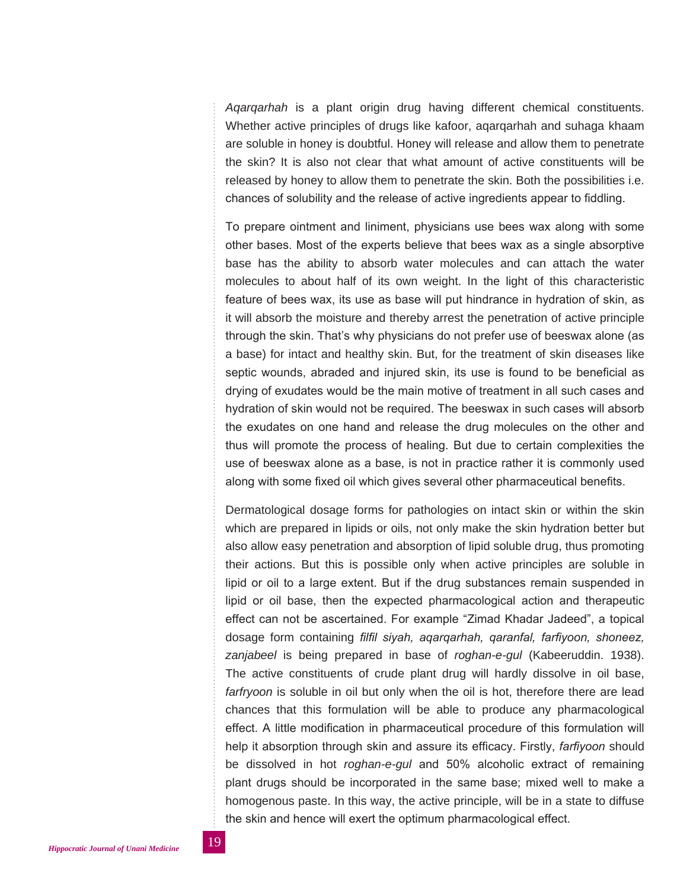*Aqarqarhah* is a plant origin drug having different chemical constituents. Whether active principles of drugs like kafoor, aqarqarhah and suhaga khaam are soluble in honey is doubtful. Honey will release and allow them to penetrate the skin? It is also not clear that what amount of active constituents will be released by honey to allow them to penetrate the skin. Both the possibilities i.e. chances of solubility and the release of active ingredients appear to fiddling.

To prepare ointment and liniment, physicians use bees wax along with some other bases. Most of the experts believe that bees wax as a single absorptive base has the ability to absorb water molecules and can attach the water molecules to about half of its own weight. In the light of this characteristic feature of bees wax, its use as base will put hindrance in hydration of skin, as it will absorb the moisture and thereby arrest the penetration of active principle through the skin. That's why physicians do not prefer use of beeswax alone (as a base) for intact and healthy skin. But, for the treatment of skin diseases like septic wounds, abraded and injured skin, its use is found to be beneficial as drying of exudates would be the main motive of treatment in all such cases and hydration of skin would not be required. The beeswax in such cases will absorb the exudates on one hand and release the drug molecules on the other and thus will promote the process of healing. But due to certain complexities the use of beeswax alone as a base, is not in practice rather it is commonly used along with some fixed oil which gives several other pharmaceutical benefits.

Dermatological dosage forms for pathologies on intact skin or within the skin which are prepared in lipids or oils, not only make the skin hydration better but also allow easy penetration and absorption of lipid soluble drug, thus promoting their actions. But this is possible only when active principles are soluble in lipid or oil to a large extent. But if the drug substances remain suspended in lipid or oil base, then the expected pharmacological action and therapeutic effect can not be ascertained. For example "Zimad Khadar Jadeed", a topical dosage form containing *filfil siyah, aqarqarhah, qaranfal, farfiyoon, shoneez, zanjabeel* is being prepared in base of *roghan-e-gul* (Kabeeruddin. 1938). The active constituents of crude plant drug will hardly dissolve in oil base, *farfryoon* is soluble in oil but only when the oil is hot, therefore there are lead chances that this formulation will be able to produce any pharmacological effect. A little modification in pharmaceutical procedure of this formulation will help it absorption through skin and assure its efficacy. Firstly, *farfiyoon* should be dissolved in hot *roghan-e-gul* and 50% alcoholic extract of remaining plant drugs should be incorporated in the same base; mixed well to make a homogenous paste. In this way, the active principle, will be in a state to diffuse the skin and hence will exert the optimum pharmacological effect.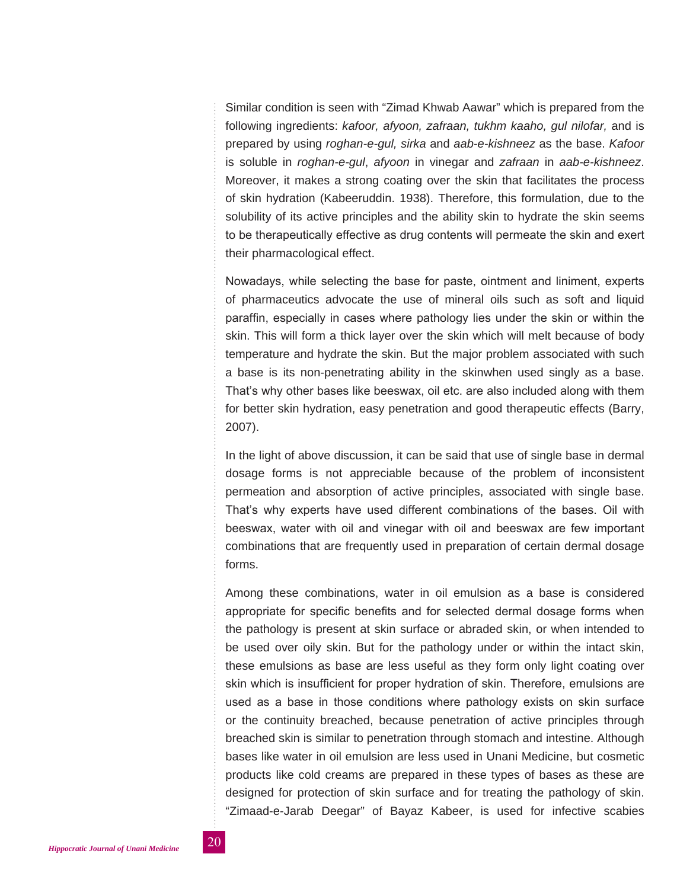Similar condition is seen with "Zimad Khwab Aawar" which is prepared from the following ingredients: *kafoor, afyoon, zafraan, tukhm kaaho, gul nilofar,* and is prepared by using *roghan-e-gul, sirka* and *aab-e-kishneez* as the base. *Kafoor* is soluble in *roghan-e-gul*, *afyoon* in vinegar and *zafraan* in *aab-e-kishneez*. Moreover, it makes a strong coating over the skin that facilitates the process of skin hydration (Kabeeruddin. 1938). Therefore, this formulation, due to the solubility of its active principles and the ability skin to hydrate the skin seems to be therapeutically effective as drug contents will permeate the skin and exert their pharmacological effect.

Nowadays, while selecting the base for paste, ointment and liniment, experts of pharmaceutics advocate the use of mineral oils such as soft and liquid paraffin, especially in cases where pathology lies under the skin or within the skin. This will form a thick layer over the skin which will melt because of body temperature and hydrate the skin. But the major problem associated with such a base is its non-penetrating ability in the skinwhen used singly as a base. That's why other bases like beeswax, oil etc. are also included along with them for better skin hydration, easy penetration and good therapeutic effects (Barry, 2007).

In the light of above discussion, it can be said that use of single base in dermal dosage forms is not appreciable because of the problem of inconsistent permeation and absorption of active principles, associated with single base. That's why experts have used different combinations of the bases. Oil with beeswax, water with oil and vinegar with oil and beeswax are few important combinations that are frequently used in preparation of certain dermal dosage forms.

Among these combinations, water in oil emulsion as a base is considered appropriate for specific benefits and for selected dermal dosage forms when the pathology is present at skin surface or abraded skin, or when intended to be used over oily skin. But for the pathology under or within the intact skin, these emulsions as base are less useful as they form only light coating over skin which is insufficient for proper hydration of skin. Therefore, emulsions are used as a base in those conditions where pathology exists on skin surface or the continuity breached, because penetration of active principles through breached skin is similar to penetration through stomach and intestine. Although bases like water in oil emulsion are less used in Unani Medicine, but cosmetic products like cold creams are prepared in these types of bases as these are designed for protection of skin surface and for treating the pathology of skin. "Zimaad-e-Jarab Deegar" of Bayaz Kabeer, is used for infective scabies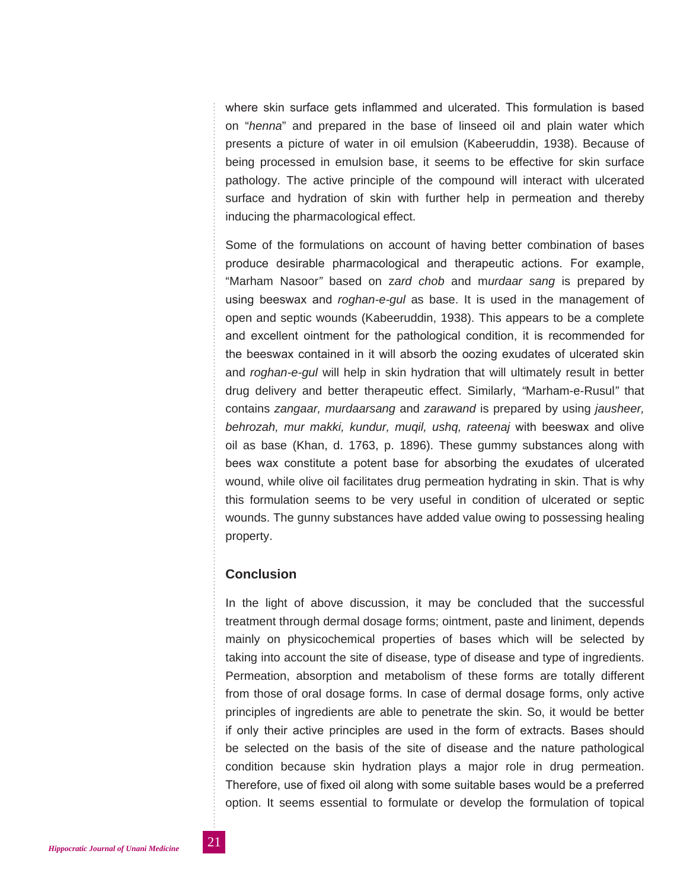where skin surface gets inflammed and ulcerated. This formulation is based on "*henna*" and prepared in the base of linseed oil and plain water which presents a picture of water in oil emulsion (Kabeeruddin, 1938). Because of being processed in emulsion base, it seems to be effective for skin surface pathology. The active principle of the compound will interact with ulcerated surface and hydration of skin with further help in permeation and thereby inducing the pharmacological effect.

Some of the formulations on account of having better combination of bases produce desirable pharmacological and therapeutic actions. For example, "Marham Nasoor*"* based on z*ard chob* and m*urdaar sang* is prepared by using beeswax and *roghan-e-gul* as base. It is used in the management of open and septic wounds (Kabeeruddin, 1938). This appears to be a complete and excellent ointment for the pathological condition, it is recommended for the beeswax contained in it will absorb the oozing exudates of ulcerated skin and *roghan-e-gul* will help in skin hydration that will ultimately result in better drug delivery and better therapeutic effect. Similarly, *"*Marham-e-Rusul*"* that contains *zangaar, murdaarsang* and *zarawand* is prepared by using *jausheer, behrozah, mur makki, kundur, muqil, ushq, rateenaj* with beeswax and olive oil as base (Khan, d. 1763, p. 1896). These gummy substances along with bees wax constitute a potent base for absorbing the exudates of ulcerated wound, while olive oil facilitates drug permeation hydrating in skin. That is why this formulation seems to be very useful in condition of ulcerated or septic wounds. The gunny substances have added value owing to possessing healing property.

# **Conclusion**

In the light of above discussion, it may be concluded that the successful treatment through dermal dosage forms; ointment, paste and liniment, depends mainly on physicochemical properties of bases which will be selected by taking into account the site of disease, type of disease and type of ingredients. Permeation, absorption and metabolism of these forms are totally different from those of oral dosage forms. In case of dermal dosage forms, only active principles of ingredients are able to penetrate the skin. So, it would be better if only their active principles are used in the form of extracts. Bases should be selected on the basis of the site of disease and the nature pathological condition because skin hydration plays a major role in drug permeation. Therefore, use of fixed oil along with some suitable bases would be a preferred option. It seems essential to formulate or develop the formulation of topical